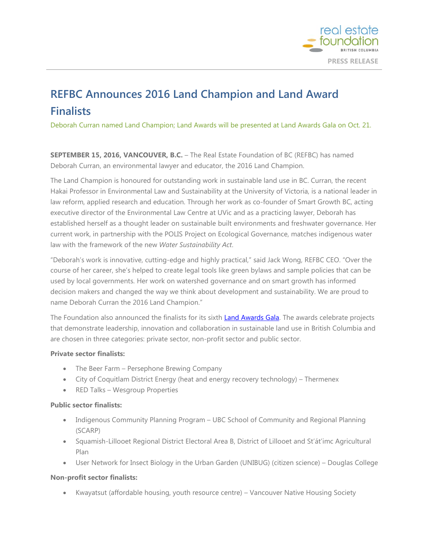

# **REFBC Announces 2016 Land Champion and Land Award Finalists**

Deborah Curran named Land Champion; Land Awards will be presented at Land Awards Gala on Oct. 21.

**SEPTEMBER 15, 2016, VANCOUVER, B.C.** – The Real Estate Foundation of BC (REFBC) has named Deborah Curran, an environmental lawyer and educator, the 2016 Land Champion.

The Land Champion is honoured for outstanding work in sustainable land use in BC. Curran, the recent Hakai Professor in Environmental Law and Sustainability at the University of Victoria, is a national leader in law reform, applied research and education. Through her work as co-founder of Smart Growth BC, acting executive director of the Environmental Law Centre at UVic and as a practicing lawyer, Deborah has established herself as a thought leader on sustainable built environments and freshwater governance. Her current work, in partnership with the POLIS Project on Ecological Governance, matches indigenous water law with the framework of the new *Water Sustainability Act*.

"Deborah's work is innovative, cutting-edge and highly practical," said Jack Wong, REFBC CEO. "Over the course of her career, she's helped to create legal tools like green bylaws and sample policies that can be used by local governments. Her work on watershed governance and on smart growth has informed decision makers and changed the way we think about development and sustainability. We are proud to name Deborah Curran the 2016 Land Champion."

The Foundation also announced the finalists for its sixth **Land Awards Gala**. The awards celebrate projects that demonstrate leadership, innovation and collaboration in sustainable land use in British Columbia and are chosen in three categories: private sector, non-profit sector and public sector.

### **Private sector finalists:**

- The Beer Farm Persephone Brewing Company
- City of Coquitlam District Energy (heat and energy recovery technology) Thermenex
- RED Talks Wesgroup Properties

### **Public sector finalists:**

- Indigenous Community Planning Program UBC School of Community and Regional Planning (SCARP)
- Squamish-Lillooet Regional District Electoral Area B, District of Lillooet and St'át'imc Agricultural Plan
- User Network for Insect Biology in the Urban Garden (UNIBUG) (citizen science) Douglas College

### **Non-profit sector finalists:**

• Kwayatsut (affordable housing, youth resource centre) – Vancouver Native Housing Society